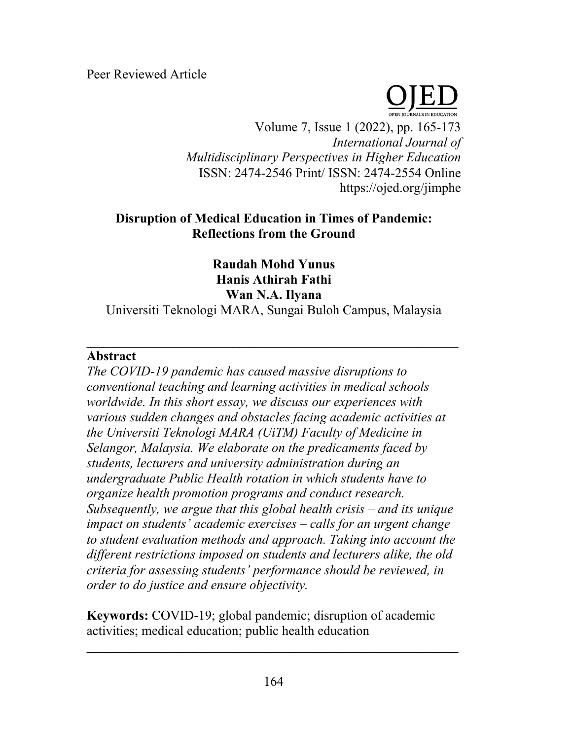Peer Reviewed Article



Volume 7, Issue 1 (2022), pp. 165-173 *International Journal of Multidisciplinary Perspectives in Higher Education* ISSN: 2474-2546 Print/ ISSN: 2474-2554 Online https://ojed.org/jimphe

# **Disruption of Medical Education in Times of Pandemic: Reflections from the Ground**

**Raudah Mohd Yunus Hanis Athirah Fathi Wan N.A. Ilyana**

Universiti Teknologi MARA, Sungai Buloh Campus, Malaysia

**\_\_\_\_\_\_\_\_\_\_\_\_\_\_\_\_\_\_\_\_\_\_\_\_\_\_\_\_\_\_\_\_\_\_\_\_\_\_\_\_\_\_\_\_\_\_\_\_\_\_\_\_\_\_\_\_**

### **Abstract**

*The COVID-19 pandemic has caused massive disruptions to conventional teaching and learning activities in medical schools worldwide. In this short essay, we discuss our experiences with various sudden changes and obstacles facing academic activities at the Universiti Teknologi MARA (UiTM) Faculty of Medicine in Selangor, Malaysia. We elaborate on the predicaments faced by students, lecturers and university administration during an undergraduate Public Health rotation in which students have to organize health promotion programs and conduct research. Subsequently, we argue that this global health crisis – and its unique impact on students' academic exercises – calls for an urgent change to student evaluation methods and approach. Taking into account the different restrictions imposed on students and lecturers alike, the old criteria for assessing students' performance should be reviewed, in order to do justice and ensure objectivity.* 

**Keywords:** COVID-19; global pandemic; disruption of academic activities; medical education; public health education

**\_\_\_\_\_\_\_\_\_\_\_\_\_\_\_\_\_\_\_\_\_\_\_\_\_\_\_\_\_\_\_\_\_\_\_\_\_\_\_\_\_\_\_\_\_\_\_\_\_\_\_\_\_\_\_\_**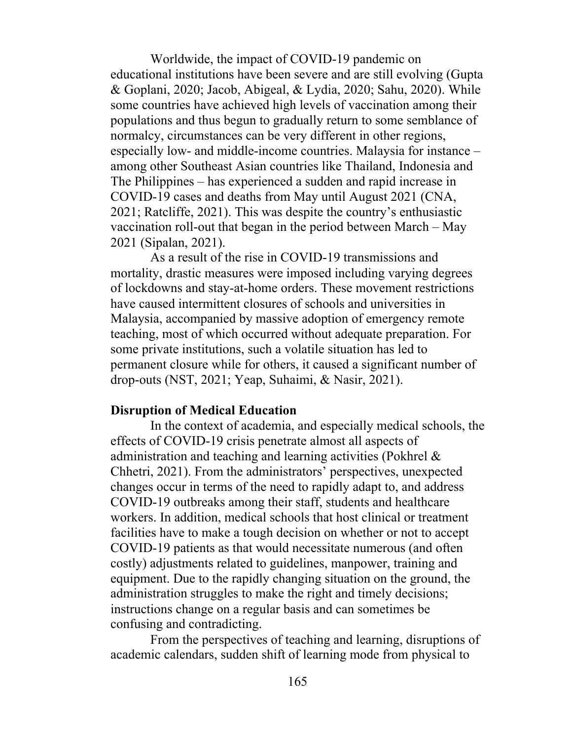Worldwide, the impact of COVID-19 pandemic on educational institutions have been severe and are still evolving (Gupta & Goplani, 2020; Jacob, Abigeal, & Lydia, 2020; Sahu, 2020). While some countries have achieved high levels of vaccination among their populations and thus begun to gradually return to some semblance of normalcy, circumstances can be very different in other regions, especially low- and middle-income countries. Malaysia for instance – among other Southeast Asian countries like Thailand, Indonesia and The Philippines – has experienced a sudden and rapid increase in COVID-19 cases and deaths from May until August 2021 (CNA, 2021; Ratcliffe, 2021). This was despite the country's enthusiastic vaccination roll-out that began in the period between March – May 2021 (Sipalan, 2021).

As a result of the rise in COVID-19 transmissions and mortality, drastic measures were imposed including varying degrees of lockdowns and stay-at-home orders. These movement restrictions have caused intermittent closures of schools and universities in Malaysia, accompanied by massive adoption of emergency remote teaching, most of which occurred without adequate preparation. For some private institutions, such a volatile situation has led to permanent closure while for others, it caused a significant number of drop-outs (NST, 2021; Yeap, Suhaimi, & Nasir, 2021).

#### **Disruption of Medical Education**

In the context of academia, and especially medical schools, the effects of COVID-19 crisis penetrate almost all aspects of administration and teaching and learning activities (Pokhrel & Chhetri, 2021). From the administrators' perspectives, unexpected changes occur in terms of the need to rapidly adapt to, and address COVID-19 outbreaks among their staff, students and healthcare workers. In addition, medical schools that host clinical or treatment facilities have to make a tough decision on whether or not to accept COVID-19 patients as that would necessitate numerous (and often costly) adjustments related to guidelines, manpower, training and equipment. Due to the rapidly changing situation on the ground, the administration struggles to make the right and timely decisions; instructions change on a regular basis and can sometimes be confusing and contradicting.

From the perspectives of teaching and learning, disruptions of academic calendars, sudden shift of learning mode from physical to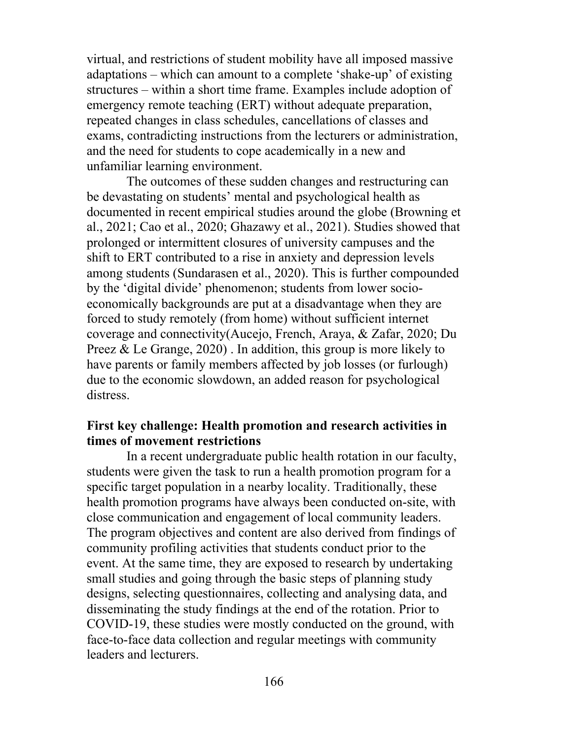virtual, and restrictions of student mobility have all imposed massive adaptations – which can amount to a complete 'shake-up' of existing structures – within a short time frame. Examples include adoption of emergency remote teaching (ERT) without adequate preparation, repeated changes in class schedules, cancellations of classes and exams, contradicting instructions from the lecturers or administration, and the need for students to cope academically in a new and unfamiliar learning environment.

The outcomes of these sudden changes and restructuring can be devastating on students' mental and psychological health as documented in recent empirical studies around the globe (Browning et al., 2021; Cao et al., 2020; Ghazawy et al., 2021). Studies showed that prolonged or intermittent closures of university campuses and the shift to ERT contributed to a rise in anxiety and depression levels among students (Sundarasen et al., 2020). This is further compounded by the 'digital divide' phenomenon; students from lower socioeconomically backgrounds are put at a disadvantage when they are forced to study remotely (from home) without sufficient internet coverage and connectivity(Aucejo, French, Araya, & Zafar, 2020; Du Preez & Le Grange, 2020). In addition, this group is more likely to have parents or family members affected by job losses (or furlough) due to the economic slowdown, an added reason for psychological distress.

#### **First key challenge: Health promotion and research activities in times of movement restrictions**

In a recent undergraduate public health rotation in our faculty, students were given the task to run a health promotion program for a specific target population in a nearby locality. Traditionally, these health promotion programs have always been conducted on-site, with close communication and engagement of local community leaders. The program objectives and content are also derived from findings of community profiling activities that students conduct prior to the event. At the same time, they are exposed to research by undertaking small studies and going through the basic steps of planning study designs, selecting questionnaires, collecting and analysing data, and disseminating the study findings at the end of the rotation. Prior to COVID-19, these studies were mostly conducted on the ground, with face-to-face data collection and regular meetings with community leaders and lecturers.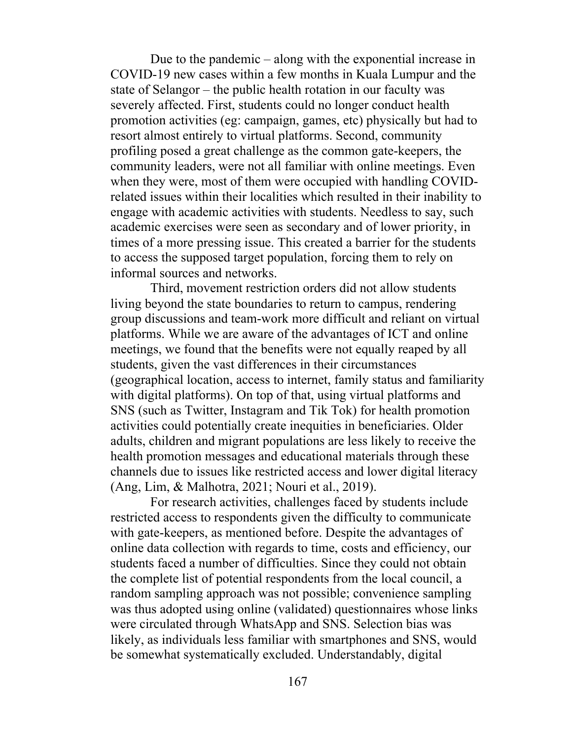Due to the pandemic – along with the exponential increase in COVID-19 new cases within a few months in Kuala Lumpur and the state of Selangor – the public health rotation in our faculty was severely affected. First, students could no longer conduct health promotion activities (eg: campaign, games, etc) physically but had to resort almost entirely to virtual platforms. Second, community profiling posed a great challenge as the common gate-keepers, the community leaders, were not all familiar with online meetings. Even when they were, most of them were occupied with handling COVIDrelated issues within their localities which resulted in their inability to engage with academic activities with students. Needless to say, such academic exercises were seen as secondary and of lower priority, in times of a more pressing issue. This created a barrier for the students to access the supposed target population, forcing them to rely on informal sources and networks.

Third, movement restriction orders did not allow students living beyond the state boundaries to return to campus, rendering group discussions and team-work more difficult and reliant on virtual platforms. While we are aware of the advantages of ICT and online meetings, we found that the benefits were not equally reaped by all students, given the vast differences in their circumstances (geographical location, access to internet, family status and familiarity with digital platforms). On top of that, using virtual platforms and SNS (such as Twitter, Instagram and Tik Tok) for health promotion activities could potentially create inequities in beneficiaries. Older adults, children and migrant populations are less likely to receive the health promotion messages and educational materials through these channels due to issues like restricted access and lower digital literacy (Ang, Lim, & Malhotra, 2021; Nouri et al., 2019).

For research activities, challenges faced by students include restricted access to respondents given the difficulty to communicate with gate-keepers, as mentioned before. Despite the advantages of online data collection with regards to time, costs and efficiency, our students faced a number of difficulties. Since they could not obtain the complete list of potential respondents from the local council, a random sampling approach was not possible; convenience sampling was thus adopted using online (validated) questionnaires whose links were circulated through WhatsApp and SNS. Selection bias was likely, as individuals less familiar with smartphones and SNS, would be somewhat systematically excluded. Understandably, digital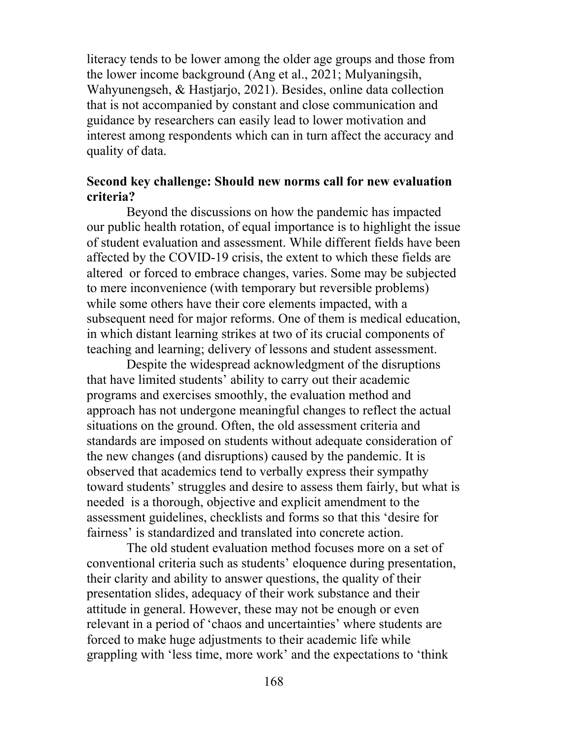literacy tends to be lower among the older age groups and those from the lower income background (Ang et al., 2021; Mulyaningsih, Wahyunengseh, & Hastjarjo, 2021). Besides, online data collection that is not accompanied by constant and close communication and guidance by researchers can easily lead to lower motivation and interest among respondents which can in turn affect the accuracy and quality of data.

### **Second key challenge: Should new norms call for new evaluation criteria?**

Beyond the discussions on how the pandemic has impacted our public health rotation, of equal importance is to highlight the issue of student evaluation and assessment. While different fields have been affected by the COVID-19 crisis, the extent to which these fields are altered or forced to embrace changes, varies. Some may be subjected to mere inconvenience (with temporary but reversible problems) while some others have their core elements impacted, with a subsequent need for major reforms. One of them is medical education, in which distant learning strikes at two of its crucial components of teaching and learning; delivery of lessons and student assessment.

Despite the widespread acknowledgment of the disruptions that have limited students' ability to carry out their academic programs and exercises smoothly, the evaluation method and approach has not undergone meaningful changes to reflect the actual situations on the ground. Often, the old assessment criteria and standards are imposed on students without adequate consideration of the new changes (and disruptions) caused by the pandemic. It is observed that academics tend to verbally express their sympathy toward students' struggles and desire to assess them fairly, but what is needed is a thorough, objective and explicit amendment to the assessment guidelines, checklists and forms so that this 'desire for fairness' is standardized and translated into concrete action.

The old student evaluation method focuses more on a set of conventional criteria such as students' eloquence during presentation, their clarity and ability to answer questions, the quality of their presentation slides, adequacy of their work substance and their attitude in general. However, these may not be enough or even relevant in a period of 'chaos and uncertainties' where students are forced to make huge adjustments to their academic life while grappling with 'less time, more work' and the expectations to 'think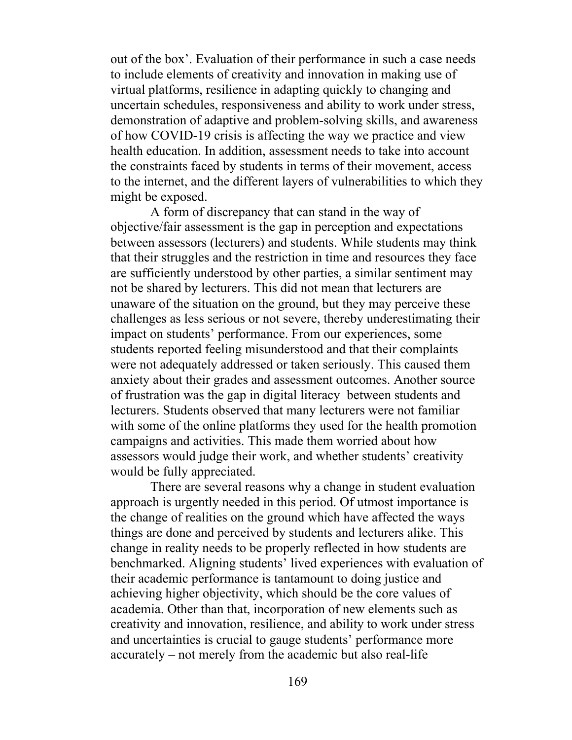out of the box'. Evaluation of their performance in such a case needs to include elements of creativity and innovation in making use of virtual platforms, resilience in adapting quickly to changing and uncertain schedules, responsiveness and ability to work under stress, demonstration of adaptive and problem-solving skills, and awareness of how COVID-19 crisis is affecting the way we practice and view health education. In addition, assessment needs to take into account the constraints faced by students in terms of their movement, access to the internet, and the different layers of vulnerabilities to which they might be exposed.

A form of discrepancy that can stand in the way of objective/fair assessment is the gap in perception and expectations between assessors (lecturers) and students. While students may think that their struggles and the restriction in time and resources they face are sufficiently understood by other parties, a similar sentiment may not be shared by lecturers. This did not mean that lecturers are unaware of the situation on the ground, but they may perceive these challenges as less serious or not severe, thereby underestimating their impact on students' performance. From our experiences, some students reported feeling misunderstood and that their complaints were not adequately addressed or taken seriously. This caused them anxiety about their grades and assessment outcomes. Another source of frustration was the gap in digital literacy between students and lecturers. Students observed that many lecturers were not familiar with some of the online platforms they used for the health promotion campaigns and activities. This made them worried about how assessors would judge their work, and whether students' creativity would be fully appreciated.

There are several reasons why a change in student evaluation approach is urgently needed in this period. Of utmost importance is the change of realities on the ground which have affected the ways things are done and perceived by students and lecturers alike. This change in reality needs to be properly reflected in how students are benchmarked. Aligning students' lived experiences with evaluation of their academic performance is tantamount to doing justice and achieving higher objectivity, which should be the core values of academia. Other than that, incorporation of new elements such as creativity and innovation, resilience, and ability to work under stress and uncertainties is crucial to gauge students' performance more accurately – not merely from the academic but also real-life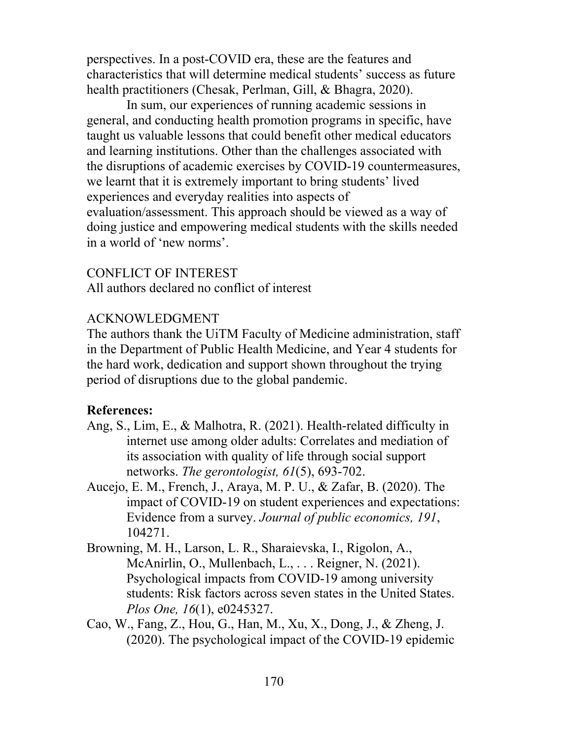perspectives. In a post-COVID era, these are the features and characteristics that will determine medical students' success as future health practitioners (Chesak, Perlman, Gill, & Bhagra, 2020).

In sum, our experiences of running academic sessions in general, and conducting health promotion programs in specific, have taught us valuable lessons that could benefit other medical educators and learning institutions. Other than the challenges associated with the disruptions of academic exercises by COVID-19 countermeasures, we learnt that it is extremely important to bring students' lived experiences and everyday realities into aspects of evaluation/assessment. This approach should be viewed as a way of doing justice and empowering medical students with the skills needed in a world of 'new norms'.

CONFLICT OF INTEREST All authors declared no conflict of interest

### ACKNOWLEDGMENT

The authors thank the UiTM Faculty of Medicine administration, staff in the Department of Public Health Medicine, and Year 4 students for the hard work, dedication and support shown throughout the trying period of disruptions due to the global pandemic.

## **References:**

- Ang, S., Lim, E., & Malhotra, R. (2021). Health-related difficulty in internet use among older adults: Correlates and mediation of its association with quality of life through social support networks. *The gerontologist, 61*(5), 693-702.
- Aucejo, E. M., French, J., Araya, M. P. U., & Zafar, B. (2020). The impact of COVID-19 on student experiences and expectations: Evidence from a survey. *Journal of public economics, 191*, 104271.
- Browning, M. H., Larson, L. R., Sharaievska, I., Rigolon, A., McAnirlin, O., Mullenbach, L., . . . Reigner, N. (2021). Psychological impacts from COVID-19 among university students: Risk factors across seven states in the United States. *Plos One, 16*(1), e0245327.
- Cao, W., Fang, Z., Hou, G., Han, M., Xu, X., Dong, J., & Zheng, J. (2020). The psychological impact of the COVID-19 epidemic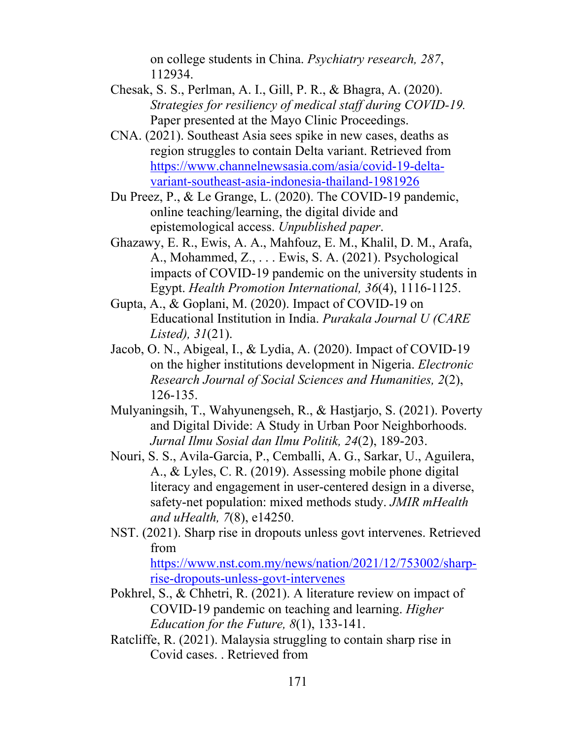on college students in China. *Psychiatry research, 287*, 112934.

- Chesak, S. S., Perlman, A. I., Gill, P. R., & Bhagra, A. (2020). *Strategies for resiliency of medical staff during COVID-19.* Paper presented at the Mayo Clinic Proceedings.
- CNA. (2021). Southeast Asia sees spike in new cases, deaths as region struggles to contain Delta variant. Retrieved from https://www.channelnewsasia.com/asia/covid-19-deltavariant-southeast-asia-indonesia-thailand-1981926
- Du Preez, P., & Le Grange, L. (2020). The COVID-19 pandemic, online teaching/learning, the digital divide and epistemological access. *Unpublished paper*.
- Ghazawy, E. R., Ewis, A. A., Mahfouz, E. M., Khalil, D. M., Arafa, A., Mohammed, Z., . . . Ewis, S. A. (2021). Psychological impacts of COVID-19 pandemic on the university students in Egypt. *Health Promotion International, 36*(4), 1116-1125.
- Gupta, A., & Goplani, M. (2020). Impact of COVID-19 on Educational Institution in India. *Purakala Journal U (CARE Listed), 31*(21).
- Jacob, O. N., Abigeal, I., & Lydia, A. (2020). Impact of COVID-19 on the higher institutions development in Nigeria. *Electronic Research Journal of Social Sciences and Humanities, 2*(2), 126-135.
- Mulyaningsih, T., Wahyunengseh, R., & Hastjarjo, S. (2021). Poverty and Digital Divide: A Study in Urban Poor Neighborhoods. *Jurnal Ilmu Sosial dan Ilmu Politik, 24*(2), 189-203.
- Nouri, S. S., Avila-Garcia, P., Cemballi, A. G., Sarkar, U., Aguilera, A., & Lyles, C. R. (2019). Assessing mobile phone digital literacy and engagement in user-centered design in a diverse, safety-net population: mixed methods study. *JMIR mHealth and uHealth, 7*(8), e14250.
- NST. (2021). Sharp rise in dropouts unless govt intervenes. Retrieved from

https://www.nst.com.my/news/nation/2021/12/753002/sharprise-dropouts-unless-govt-intervenes

- Pokhrel, S., & Chhetri, R. (2021). A literature review on impact of COVID-19 pandemic on teaching and learning. *Higher Education for the Future, 8*(1), 133-141.
- Ratcliffe, R. (2021). Malaysia struggling to contain sharp rise in Covid cases. . Retrieved from